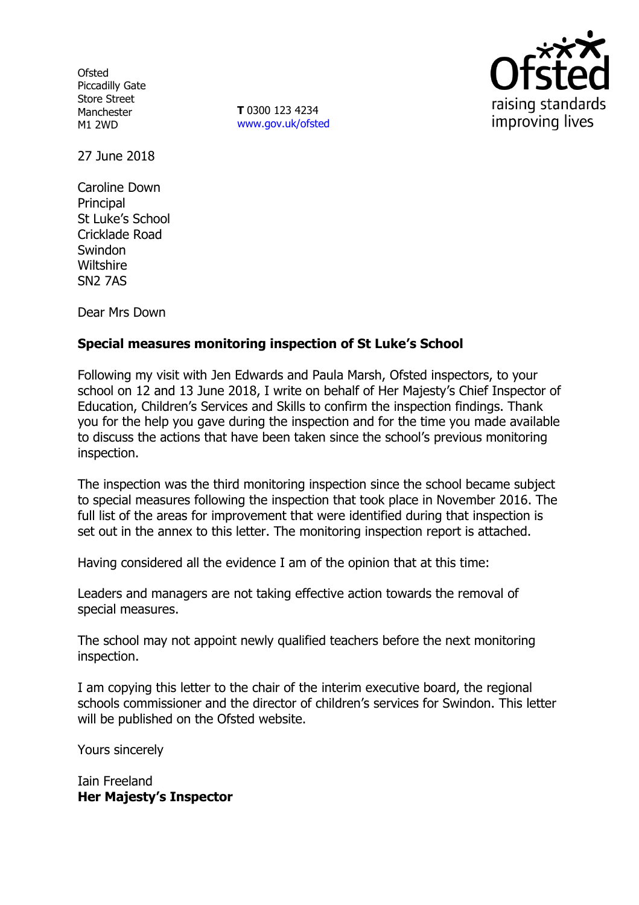**Ofsted** Piccadilly Gate Store Street Manchester M1 2WD

**T** 0300 123 4234 www.gov.uk/ofsted



27 June 2018

Caroline Down Principal St Luke's School Cricklade Road **Swindon Wiltshire** SN2 7AS

Dear Mrs Down

# **Special measures monitoring inspection of St Luke's School**

Following my visit with Jen Edwards and Paula Marsh, Ofsted inspectors, to your school on 12 and 13 June 2018, I write on behalf of Her Majesty's Chief Inspector of Education, Children's Services and Skills to confirm the inspection findings. Thank you for the help you gave during the inspection and for the time you made available to discuss the actions that have been taken since the school's previous monitoring inspection.

The inspection was the third monitoring inspection since the school became subject to special measures following the inspection that took place in November 2016. The full list of the areas for improvement that were identified during that inspection is set out in the annex to this letter. The monitoring inspection report is attached.

Having considered all the evidence I am of the opinion that at this time:

Leaders and managers are not taking effective action towards the removal of special measures.

The school may not appoint newly qualified teachers before the next monitoring inspection.

I am copying this letter to the chair of the interim executive board, the regional schools commissioner and the director of children's services for Swindon. This letter will be published on the Ofsted website.

Yours sincerely

Iain Freeland **Her Majesty's Inspector**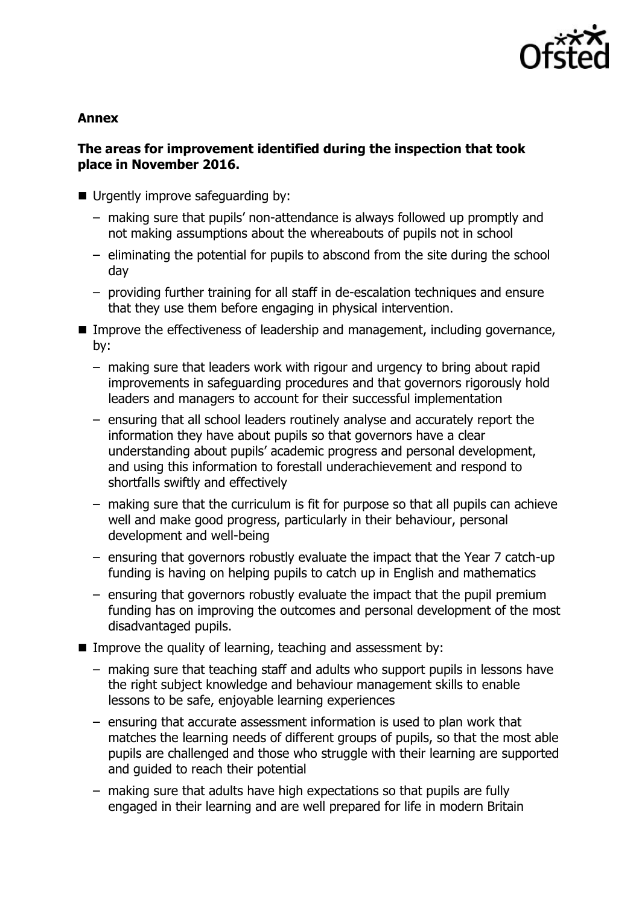

### **Annex**

# **The areas for improvement identified during the inspection that took place in November 2016.**

- Urgently improve safeguarding by:
	- making sure that pupils' non-attendance is always followed up promptly and not making assumptions about the whereabouts of pupils not in school
	- eliminating the potential for pupils to abscond from the site during the school day
	- providing further training for all staff in de-escalation techniques and ensure that they use them before engaging in physical intervention.
- Improve the effectiveness of leadership and management, including governance, by:
	- making sure that leaders work with rigour and urgency to bring about rapid improvements in safeguarding procedures and that governors rigorously hold leaders and managers to account for their successful implementation
	- ensuring that all school leaders routinely analyse and accurately report the information they have about pupils so that governors have a clear understanding about pupils' academic progress and personal development, and using this information to forestall underachievement and respond to shortfalls swiftly and effectively
	- making sure that the curriculum is fit for purpose so that all pupils can achieve well and make good progress, particularly in their behaviour, personal development and well-being
	- ensuring that governors robustly evaluate the impact that the Year 7 catch-up funding is having on helping pupils to catch up in English and mathematics
	- ensuring that governors robustly evaluate the impact that the pupil premium funding has on improving the outcomes and personal development of the most disadvantaged pupils.
- Improve the quality of learning, teaching and assessment by:
	- making sure that teaching staff and adults who support pupils in lessons have the right subject knowledge and behaviour management skills to enable lessons to be safe, enjoyable learning experiences
	- ensuring that accurate assessment information is used to plan work that matches the learning needs of different groups of pupils, so that the most able pupils are challenged and those who struggle with their learning are supported and guided to reach their potential
	- making sure that adults have high expectations so that pupils are fully engaged in their learning and are well prepared for life in modern Britain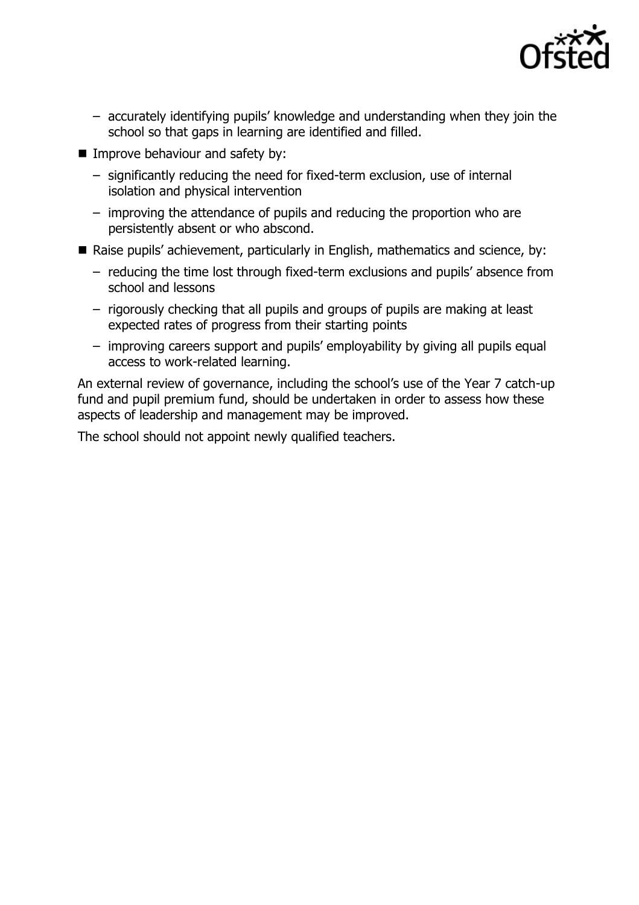

- accurately identifying pupils' knowledge and understanding when they join the school so that gaps in learning are identified and filled.
- **Improve behaviour and safety by:** 
	- significantly reducing the need for fixed-term exclusion, use of internal isolation and physical intervention
	- improving the attendance of pupils and reducing the proportion who are persistently absent or who abscond.
- Raise pupils' achievement, particularly in English, mathematics and science, by:
	- reducing the time lost through fixed-term exclusions and pupils' absence from school and lessons
	- rigorously checking that all pupils and groups of pupils are making at least expected rates of progress from their starting points
	- improving careers support and pupils' employability by giving all pupils equal access to work-related learning.

An external review of governance, including the school's use of the Year 7 catch-up fund and pupil premium fund, should be undertaken in order to assess how these aspects of leadership and management may be improved.

The school should not appoint newly qualified teachers.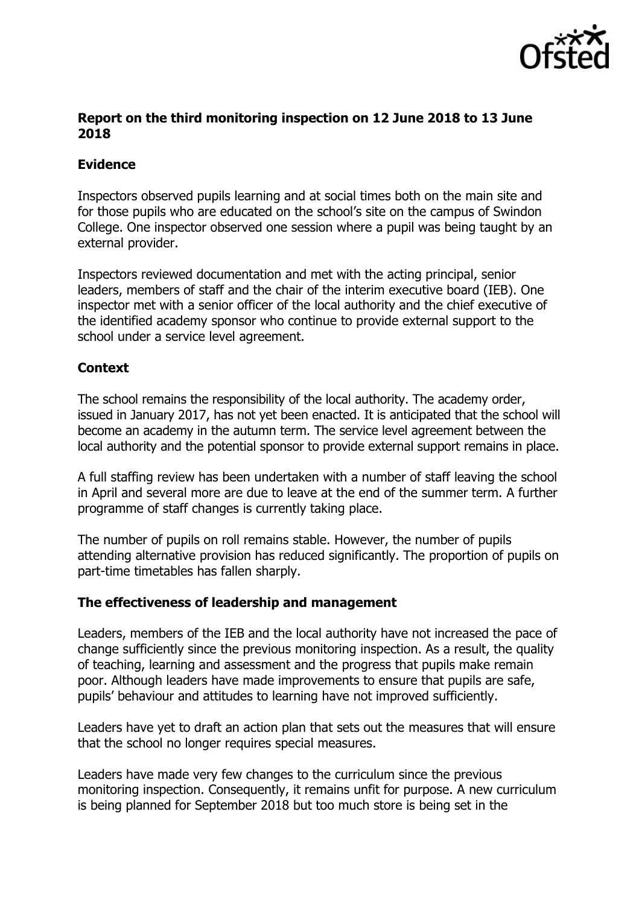

## **Report on the third monitoring inspection on 12 June 2018 to 13 June 2018**

### **Evidence**

Inspectors observed pupils learning and at social times both on the main site and for those pupils who are educated on the school's site on the campus of Swindon College. One inspector observed one session where a pupil was being taught by an external provider.

Inspectors reviewed documentation and met with the acting principal, senior leaders, members of staff and the chair of the interim executive board (IEB). One inspector met with a senior officer of the local authority and the chief executive of the identified academy sponsor who continue to provide external support to the school under a service level agreement.

## **Context**

The school remains the responsibility of the local authority. The academy order, issued in January 2017, has not yet been enacted. It is anticipated that the school will become an academy in the autumn term. The service level agreement between the local authority and the potential sponsor to provide external support remains in place.

A full staffing review has been undertaken with a number of staff leaving the school in April and several more are due to leave at the end of the summer term. A further programme of staff changes is currently taking place.

The number of pupils on roll remains stable. However, the number of pupils attending alternative provision has reduced significantly. The proportion of pupils on part-time timetables has fallen sharply.

#### **The effectiveness of leadership and management**

Leaders, members of the IEB and the local authority have not increased the pace of change sufficiently since the previous monitoring inspection. As a result, the quality of teaching, learning and assessment and the progress that pupils make remain poor. Although leaders have made improvements to ensure that pupils are safe, pupils' behaviour and attitudes to learning have not improved sufficiently.

Leaders have yet to draft an action plan that sets out the measures that will ensure that the school no longer requires special measures.

Leaders have made very few changes to the curriculum since the previous monitoring inspection. Consequently, it remains unfit for purpose. A new curriculum is being planned for September 2018 but too much store is being set in the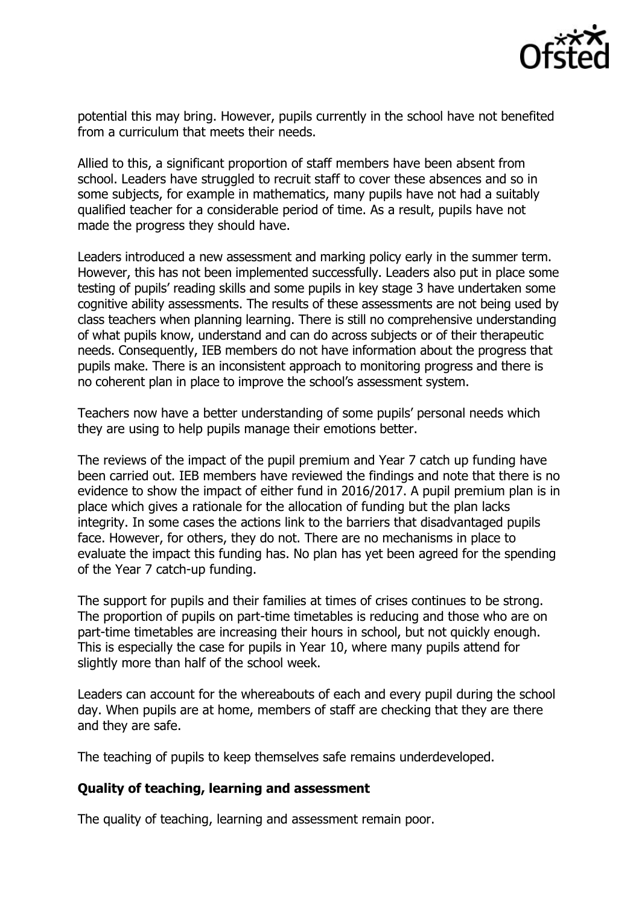

potential this may bring. However, pupils currently in the school have not benefited from a curriculum that meets their needs.

Allied to this, a significant proportion of staff members have been absent from school. Leaders have struggled to recruit staff to cover these absences and so in some subjects, for example in mathematics, many pupils have not had a suitably qualified teacher for a considerable period of time. As a result, pupils have not made the progress they should have.

Leaders introduced a new assessment and marking policy early in the summer term. However, this has not been implemented successfully. Leaders also put in place some testing of pupils' reading skills and some pupils in key stage 3 have undertaken some cognitive ability assessments. The results of these assessments are not being used by class teachers when planning learning. There is still no comprehensive understanding of what pupils know, understand and can do across subjects or of their therapeutic needs. Consequently, IEB members do not have information about the progress that pupils make. There is an inconsistent approach to monitoring progress and there is no coherent plan in place to improve the school's assessment system.

Teachers now have a better understanding of some pupils' personal needs which they are using to help pupils manage their emotions better.

The reviews of the impact of the pupil premium and Year 7 catch up funding have been carried out. IEB members have reviewed the findings and note that there is no evidence to show the impact of either fund in 2016/2017. A pupil premium plan is in place which gives a rationale for the allocation of funding but the plan lacks integrity. In some cases the actions link to the barriers that disadvantaged pupils face. However, for others, they do not. There are no mechanisms in place to evaluate the impact this funding has. No plan has yet been agreed for the spending of the Year 7 catch-up funding.

The support for pupils and their families at times of crises continues to be strong. The proportion of pupils on part-time timetables is reducing and those who are on part-time timetables are increasing their hours in school, but not quickly enough. This is especially the case for pupils in Year 10, where many pupils attend for slightly more than half of the school week.

Leaders can account for the whereabouts of each and every pupil during the school day. When pupils are at home, members of staff are checking that they are there and they are safe.

The teaching of pupils to keep themselves safe remains underdeveloped.

#### **Quality of teaching, learning and assessment**

The quality of teaching, learning and assessment remain poor.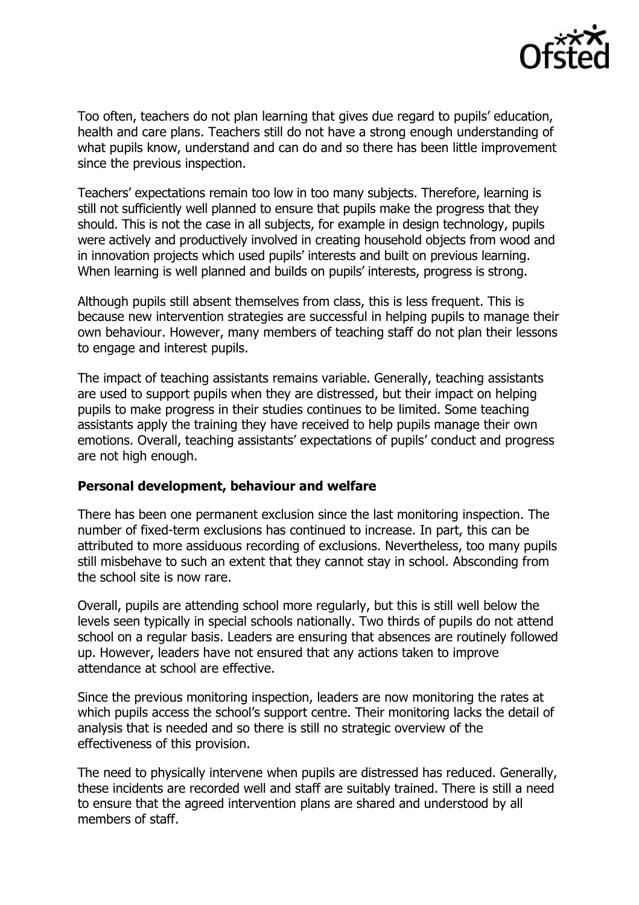

Too often, teachers do not plan learning that gives due regard to pupils' education, health and care plans. Teachers still do not have a strong enough understanding of what pupils know, understand and can do and so there has been little improvement since the previous inspection.

Teachers' expectations remain too low in too many subjects. Therefore, learning is still not sufficiently well planned to ensure that pupils make the progress that they should. This is not the case in all subjects, for example in design technology, pupils were actively and productively involved in creating household objects from wood and in innovation projects which used pupils' interests and built on previous learning. When learning is well planned and builds on pupils' interests, progress is strong.

Although pupils still absent themselves from class, this is less frequent. This is because new intervention strategies are successful in helping pupils to manage their own behaviour. However, many members of teaching staff do not plan their lessons to engage and interest pupils.

The impact of teaching assistants remains variable. Generally, teaching assistants are used to support pupils when they are distressed, but their impact on helping pupils to make progress in their studies continues to be limited. Some teaching assistants apply the training they have received to help pupils manage their own emotions. Overall, teaching assistants' expectations of pupils' conduct and progress are not high enough.

#### **Personal development, behaviour and welfare**

There has been one permanent exclusion since the last monitoring inspection. The number of fixed-term exclusions has continued to increase. In part, this can be attributed to more assiduous recording of exclusions. Nevertheless, too many pupils still misbehave to such an extent that they cannot stay in school. Absconding from the school site is now rare.

Overall, pupils are attending school more regularly, but this is still well below the levels seen typically in special schools nationally. Two thirds of pupils do not attend school on a regular basis. Leaders are ensuring that absences are routinely followed up. However, leaders have not ensured that any actions taken to improve attendance at school are effective.

Since the previous monitoring inspection, leaders are now monitoring the rates at which pupils access the school's support centre. Their monitoring lacks the detail of analysis that is needed and so there is still no strategic overview of the effectiveness of this provision.

The need to physically intervene when pupils are distressed has reduced. Generally, these incidents are recorded well and staff are suitably trained. There is still a need to ensure that the agreed intervention plans are shared and understood by all members of staff.